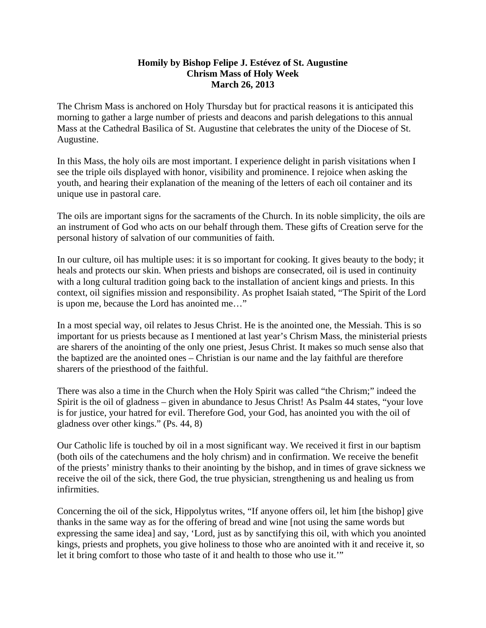## **Homily by Bishop Felipe J. Estévez of St. Augustine Chrism Mass of Holy Week March 26, 2013**

The Chrism Mass is anchored on Holy Thursday but for practical reasons it is anticipated this morning to gather a large number of priests and deacons and parish delegations to this annual Mass at the Cathedral Basilica of St. Augustine that celebrates the unity of the Diocese of St. Augustine.

In this Mass, the holy oils are most important. I experience delight in parish visitations when I see the triple oils displayed with honor, visibility and prominence. I rejoice when asking the youth, and hearing their explanation of the meaning of the letters of each oil container and its unique use in pastoral care.

The oils are important signs for the sacraments of the Church. In its noble simplicity, the oils are an instrument of God who acts on our behalf through them. These gifts of Creation serve for the personal history of salvation of our communities of faith.

In our culture, oil has multiple uses: it is so important for cooking. It gives beauty to the body; it heals and protects our skin. When priests and bishops are consecrated, oil is used in continuity with a long cultural tradition going back to the installation of ancient kings and priests. In this context, oil signifies mission and responsibility. As prophet Isaiah stated, "The Spirit of the Lord is upon me, because the Lord has anointed me…"

In a most special way, oil relates to Jesus Christ. He is the anointed one, the Messiah. This is so important for us priests because as I mentioned at last year's Chrism Mass, the ministerial priests are sharers of the anointing of the only one priest, Jesus Christ. It makes so much sense also that the baptized are the anointed ones – Christian is our name and the lay faithful are therefore sharers of the priesthood of the faithful.

There was also a time in the Church when the Holy Spirit was called "the Chrism;" indeed the Spirit is the oil of gladness – given in abundance to Jesus Christ! As Psalm 44 states, "your love is for justice, your hatred for evil. Therefore God, your God, has anointed you with the oil of gladness over other kings." (Ps. 44, 8)

Our Catholic life is touched by oil in a most significant way. We received it first in our baptism (both oils of the catechumens and the holy chrism) and in confirmation. We receive the benefit of the priests' ministry thanks to their anointing by the bishop, and in times of grave sickness we receive the oil of the sick, there God, the true physician, strengthening us and healing us from infirmities.

Concerning the oil of the sick, Hippolytus writes, "If anyone offers oil, let him [the bishop] give thanks in the same way as for the offering of bread and wine [not using the same words but expressing the same idea] and say, 'Lord, just as by sanctifying this oil, with which you anointed kings, priests and prophets, you give holiness to those who are anointed with it and receive it, so let it bring comfort to those who taste of it and health to those who use it.'"